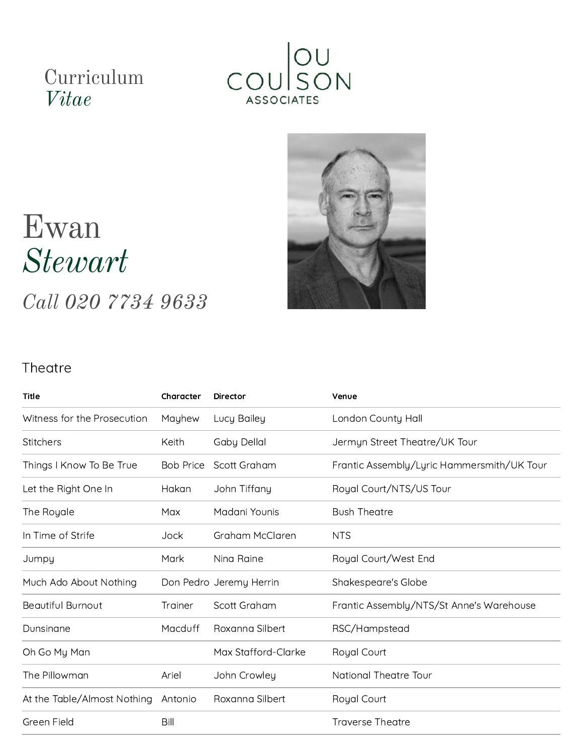## Curriculum *Vitae*





# Ewan *Stewart*

*Call 020 7734 9633*

#### **Theatre**

| <b>Title</b>                | Character        | <b>Director</b>         | Venue                                      |
|-----------------------------|------------------|-------------------------|--------------------------------------------|
| Witness for the Prosecution | Mayhew           | Lucy Bailey             | London County Hall                         |
| <b>Stitchers</b>            | Keith            | <b>Gaby Dellal</b>      | Jermyn Street Theatre/UK Tour              |
| Things I Know To Be True    | <b>Bob Price</b> | Scott Graham            | Frantic Assembly/Lyric Hammersmith/UK Tour |
| Let the Right One In        | Hakan            | John Tiffany            | Royal Court/NTS/US Tour                    |
| The Royale                  | Max              | Madani Younis           | <b>Bush Theatre</b>                        |
| In Time of Strife           | Jock             | Graham McClaren         | <b>NTS</b>                                 |
| Jumpy                       | Mark             | Nina Raine              | Royal Court/West End                       |
| Much Ado About Nothing      |                  | Don Pedro Jeremy Herrin | Shakespeare's Globe                        |
| <b>Beautiful Burnout</b>    | Trainer          | Scott Graham            | Frantic Assembly/NTS/St Anne's Warehouse   |
| Dunsinane                   | Macduff          | Roxanna Silbert         | RSC/Hampstead                              |
| Oh Go My Man                |                  | Max Stafford-Clarke     | Royal Court                                |
| The Pillowman               | Ariel            | John Crowley            | <b>National Theatre Tour</b>               |
| At the Table/Almost Nothing | Antonio          | Roxanna Silbert         | Royal Court                                |
| Green Field                 | Bill             |                         | <b>Traverse Theatre</b>                    |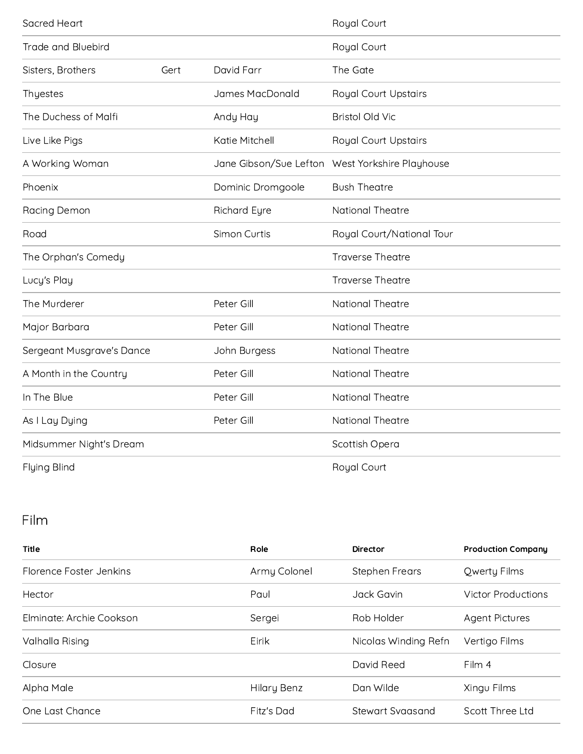| Sacred Heart              |            |                     | Royal Court                                     |  |
|---------------------------|------------|---------------------|-------------------------------------------------|--|
| <b>Trade and Bluebird</b> |            |                     | Royal Court                                     |  |
| Sisters, Brothers<br>Gert |            | David Farr          | The Gate                                        |  |
| Thyestes                  |            | James MacDonald     | <b>Royal Court Upstairs</b>                     |  |
| The Duchess of Malfi      |            | Andy Hay            | <b>Bristol Old Vic</b>                          |  |
| Live Like Pigs            |            | Katie Mitchell      | <b>Royal Court Upstairs</b>                     |  |
| A Working Woman           |            |                     | Jane Gibson/Sue Lefton West Yorkshire Playhouse |  |
| Phoenix                   |            | Dominic Dromgoole   | <b>Bush Theatre</b>                             |  |
| Racing Demon              |            | <b>Richard Eyre</b> | <b>National Theatre</b>                         |  |
| Road                      |            | Simon Curtis        | Royal Court/National Tour                       |  |
| The Orphan's Comedy       |            |                     | <b>Traverse Theatre</b>                         |  |
| Lucy's Play               |            |                     | <b>Traverse Theatre</b>                         |  |
| The Murderer              |            | Peter Gill          | <b>National Theatre</b>                         |  |
| Major Barbara             |            | Peter Gill          | National Theatre                                |  |
| Sergeant Musgrave's Dance |            | John Burgess        | <b>National Theatre</b>                         |  |
| A Month in the Country    |            | Peter Gill          | National Theatre                                |  |
| In The Blue               |            | Peter Gill          | National Theatre                                |  |
| As I Lay Dying            | Peter Gill |                     | National Theatre                                |  |
| Midsummer Night's Dream   |            |                     | Scottish Opera                                  |  |
| Flying Blind              |            |                     | Royal Court                                     |  |

### Film

| Title                    | Role               | <b>Director</b>       | <b>Production Company</b> |
|--------------------------|--------------------|-----------------------|---------------------------|
| Florence Foster Jenkins  | Army Colonel       | <b>Stephen Frears</b> | Qwerty Films              |
| Hector                   | Paul               | Jack Gavin            | Victor Productions        |
| Elminate: Archie Cookson | Sergei             | Rob Holder            | <b>Agent Pictures</b>     |
| Valhalla Rising          | Eirik              | Nicolas Winding Refn  | Vertigo Films             |
| Closure                  |                    | David Reed            | Film 4                    |
| Alpha Male               | <b>Hilary Benz</b> | Dan Wilde             | Xingu Films               |
| One Last Chance          | Fitz's Dad         | Stewart Syaasand      | Scott Three Ltd           |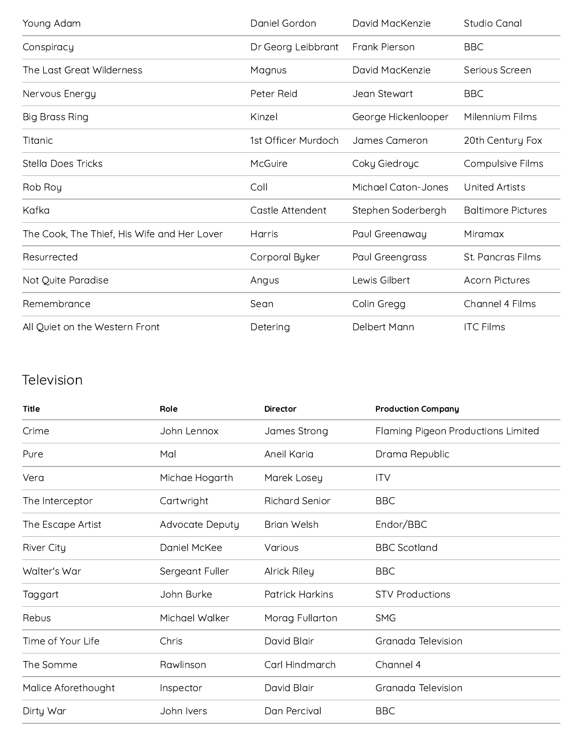| Young Adam                                  | Daniel Gordon       | David MacKenzie     | Studio Canal              |
|---------------------------------------------|---------------------|---------------------|---------------------------|
| Conspiracy                                  | Dr Georg Leibbrant  | Frank Pierson       | <b>BBC</b>                |
| The Last Great Wilderness                   | Magnus              | David MacKenzie     | Serious Screen            |
| Nervous Energy                              | Peter Reid          | Jean Stewart        | <b>BBC</b>                |
| <b>Big Brass Ring</b>                       | Kinzel              | George Hickenlooper | Milennium Films           |
| Titanic                                     | 1st Officer Murdoch | James Cameron       | 20th Century Fox          |
| <b>Stella Does Tricks</b>                   | McGuire             | Coky Giedroyc       | <b>Compulsive Films</b>   |
| Rob Roy                                     | Coll                | Michael Caton-Jones | <b>United Artists</b>     |
| Kafka                                       | Castle Attendent    | Stephen Soderbergh  | <b>Baltimore Pictures</b> |
| The Cook, The Thief, His Wife and Her Lover | Harris              | Paul Greenaway      | Miramax                   |
| Resurrected                                 | Corporal Byker      | Paul Greengrass     | St. Pancras Films         |
| Not Quite Paradise                          | Angus               | Lewis Gilbert       | <b>Acorn Pictures</b>     |
| Remembrance                                 | Sean                | Colin Gregg         | Channel 4 Films           |
| All Quiet on the Western Front              | Detering            | Delbert Mann        | <b>ITC Films</b>          |

#### Television

| <b>Title</b>        | Role            | <b>Director</b>        | <b>Production Company</b>          |
|---------------------|-----------------|------------------------|------------------------------------|
| Crime               | John Lennox     | James Strong           | Flaming Pigeon Productions Limited |
| Pure                | Mal             | Aneil Karia            | Drama Republic                     |
| Vera                | Michae Hogarth  | Marek Losey            | <b>ITV</b>                         |
| The Interceptor     | Cartwright      | <b>Richard Senior</b>  | <b>BBC</b>                         |
| The Escape Artist   | Advocate Deputy | <b>Brian Welsh</b>     | Endor/BBC                          |
| <b>River City</b>   | Daniel McKee    | Various                | <b>BBC</b> Scotland                |
| Walter's War        | Sergeant Fuller | <b>Alrick Riley</b>    | <b>BBC</b>                         |
| Taggart             | John Burke      | <b>Patrick Harkins</b> | <b>STV Productions</b>             |
| Rebus               | Michael Walker  | Morag Fullarton        | <b>SMG</b>                         |
| Time of Your Life   | Chris           | David Blair            | Granada Television                 |
| The Somme           | Rawlinson       | Carl Hindmarch         | Channel 4                          |
| Malice Aforethought | Inspector       | David Blair            | Granada Television                 |
| Dirty War           | John Ivers      | Dan Percival           | <b>BBC</b>                         |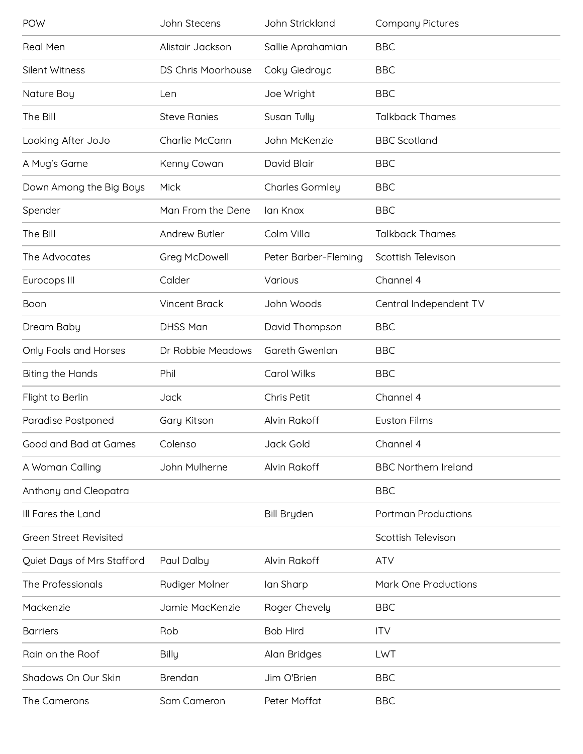| POW                           | John Stecens         | John Strickland        | <b>Company Pictures</b>     |
|-------------------------------|----------------------|------------------------|-----------------------------|
| <b>Real Men</b>               | Alistair Jackson     | Sallie Aprahamian      | <b>BBC</b>                  |
| Silent Witness                | DS Chris Moorhouse   | Coky Giedroyc          | <b>BBC</b>                  |
| Nature Boy                    | Len                  | Joe Wright             | <b>BBC</b>                  |
| The Bill                      | <b>Steve Ranies</b>  | Susan Tully            | <b>Talkback Thames</b>      |
| Looking After JoJo            | Charlie McCann       | John McKenzie          | <b>BBC</b> Scotland         |
| A Mug's Game                  | Kenny Cowan          | David Blair            | <b>BBC</b>                  |
| Down Among the Big Boys       | Mick                 | <b>Charles Gormley</b> | <b>BBC</b>                  |
| Spender                       | Man From the Dene    | lan Knox               | <b>BBC</b>                  |
| The Bill                      | Andrew Butler        | Colm Villa             | <b>Talkback Thames</b>      |
| The Advocates                 | Greg McDowell        | Peter Barber-Fleming   | Scottish Televison          |
| Eurocops III                  | Calder               | Various                | Channel 4                   |
| Boon                          | <b>Vincent Brack</b> | John Woods             | Central Independent TV      |
| Dream Baby                    | <b>DHSS Man</b>      | David Thompson         | <b>BBC</b>                  |
| Only Fools and Horses         | Dr Robbie Meadows    | Gareth Gwenlan         | <b>BBC</b>                  |
|                               |                      |                        |                             |
| <b>Biting the Hands</b>       | Phil                 | Carol Wilks            | <b>BBC</b>                  |
| Flight to Berlin              | Jack                 | Chris Petit            | Channel 4                   |
| Paradise Postponed            | Gary Kitson          | Alvin Rakoff           | <b>Euston Films</b>         |
| Good and Bad at Games         | Colenso              | Jack Gold              | Channel 4                   |
| A Woman Calling               | John Mulherne        | Alvin Rakoff           | <b>BBC Northern Ireland</b> |
| Anthony and Cleopatra         |                      |                        | <b>BBC</b>                  |
| Ill Fares the Land            |                      | <b>Bill Bryden</b>     | <b>Portman Productions</b>  |
| <b>Green Street Revisited</b> |                      |                        | Scottish Televison          |
| Quiet Days of Mrs Stafford    | Paul Dalby           | Alvin Rakoff           | <b>ATV</b>                  |
| The Professionals             | Rudiger Molner       | lan Sharp              | Mark One Productions        |
| Mackenzie                     | Jamie MacKenzie      | Roger Chevely          | <b>BBC</b>                  |
| <b>Barriers</b>               | Rob                  | <b>Bob Hird</b>        | <b>ITV</b>                  |
| Rain on the Roof              | <b>Billy</b>         | Alan Bridges           | LWT                         |
| Shadows On Our Skin           | Brendan              | Jim O'Brien            | <b>BBC</b>                  |